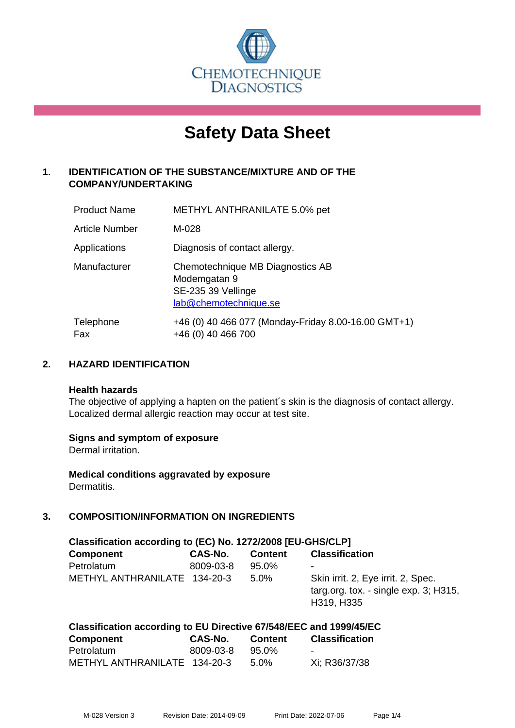

# **Safety Data Sheet**

# **1. IDENTIFICATION OF THE SUBSTANCE/MIXTURE AND OF THE COMPANY/UNDERTAKING**

| <b>Product Name</b>   | METHYL ANTHRANILATE 5.0% pet                                                                    |
|-----------------------|-------------------------------------------------------------------------------------------------|
| <b>Article Number</b> | M-028                                                                                           |
| Applications          | Diagnosis of contact allergy.                                                                   |
| Manufacturer          | Chemotechnique MB Diagnostics AB<br>Modemgatan 9<br>SE-235 39 Vellinge<br>lab@chemotechnique.se |
| Telephone<br>Fax      | +46 (0) 40 466 077 (Monday-Friday 8.00-16.00 GMT+1)<br>+46 (0) 40 466 700                       |

## **2. HAZARD IDENTIFICATION**

#### **Health hazards**

The objective of applying a hapten on the patient's skin is the diagnosis of contact allergy. Localized dermal allergic reaction may occur at test site.

## **Signs and symptom of exposure**

Dermal irritation.

**Medical conditions aggravated by exposure** Dermatitis.

# **3. COMPOSITION/INFORMATION ON INGREDIENTS**

| Classification according to (EC) No. 1272/2008 [EU-GHS/CLP] |           |                |                                                                                           |  |  |
|-------------------------------------------------------------|-----------|----------------|-------------------------------------------------------------------------------------------|--|--|
| <b>Component</b>                                            | CAS-No.   | <b>Content</b> | <b>Classification</b>                                                                     |  |  |
| Petrolatum                                                  | 8009-03-8 | 95.0%          | -                                                                                         |  |  |
| METHYL ANTHRANILATE 134-20-3                                |           | 5.0%           | Skin irrit. 2, Eye irrit. 2, Spec.<br>targ.org. tox. - single exp. 3; H315,<br>H319, H335 |  |  |

| Classification according to EU Directive 67/548/EEC and 1999/45/EC |           |                |                       |  |
|--------------------------------------------------------------------|-----------|----------------|-----------------------|--|
| <b>Component</b>                                                   | CAS-No.   | <b>Content</b> | <b>Classification</b> |  |
| Petrolatum                                                         | 8009-03-8 | 95.0%          |                       |  |
| METHYL ANTHRANILATE 134-20-3                                       |           | $5.0\%$        | Xi; R36/37/38         |  |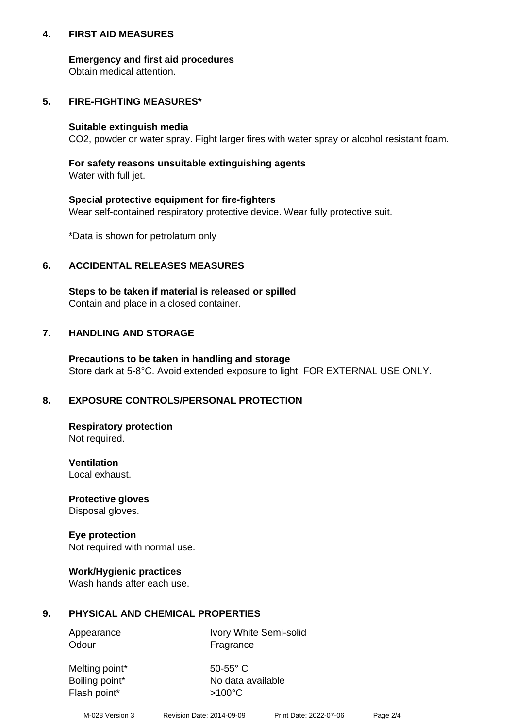## **4. FIRST AID MEASURES**

## **Emergency and first aid procedures**

Obtain medical attention.

# **5. FIRE-FIGHTING MEASURES\***

#### **Suitable extinguish media**

CO2, powder or water spray. Fight larger fires with water spray or alcohol resistant foam.

# **For safety reasons unsuitable extinguishing agents**

Water with full jet.

## **Special protective equipment for fire-fighters**

Wear self-contained respiratory protective device. Wear fully protective suit.

\*Data is shown for petrolatum only

## **6. ACCIDENTAL RELEASES MEASURES**

**Steps to be taken if material is released or spilled** Contain and place in a closed container.

# **7. HANDLING AND STORAGE**

**Precautions to be taken in handling and storage** Store dark at 5-8°C. Avoid extended exposure to light. FOR EXTERNAL USE ONLY.

# **8. EXPOSURE CONTROLS/PERSONAL PROTECTION**

**Respiratory protection** Not required.

**Ventilation** Local exhaust.

**Protective gloves** Disposal gloves.

#### **Eye protection** Not required with normal use.

## **Work/Hygienic practices**

Wash hands after each use.

## **9. PHYSICAL AND CHEMICAL PROPERTIES**

Odour Fragrance

Appearance Ivory White Semi-solid

Melting point\* 50-55° C Flash point\*  $>100^{\circ}$ C

Boiling point\* No data available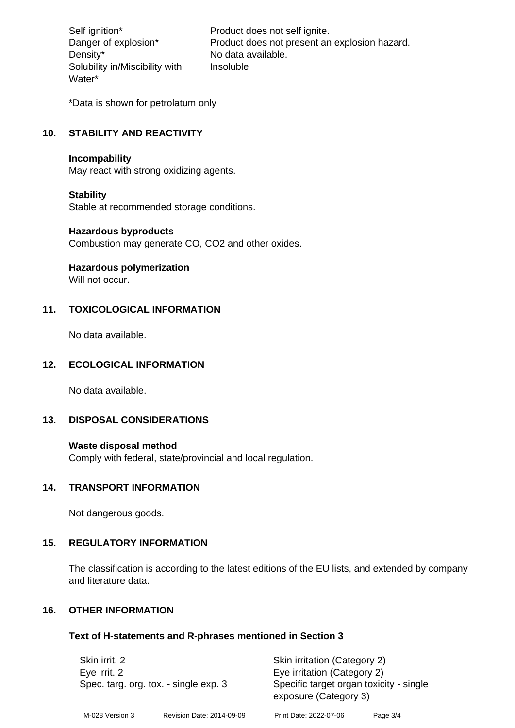Density\* No data available. Solubility in/Miscibility with Water\*

Self ignition\* Product does not self ignite. Danger of explosion\* Product does not present an explosion hazard. Insoluble

\*Data is shown for petrolatum only

# **10. STABILITY AND REACTIVITY**

#### **Incompability**

May react with strong oxidizing agents.

#### **Stability**

Stable at recommended storage conditions.

#### **Hazardous byproducts**

Combustion may generate CO, CO2 and other oxides.

**Hazardous polymerization**

Will not occur.

## **11. TOXICOLOGICAL INFORMATION**

No data available.

# **12. ECOLOGICAL INFORMATION**

No data available.

## **13. DISPOSAL CONSIDERATIONS**

#### **Waste disposal method**

Comply with federal, state/provincial and local regulation.

#### **14. TRANSPORT INFORMATION**

Not dangerous goods.

## **15. REGULATORY INFORMATION**

The classification is according to the latest editions of the EU lists, and extended by company and literature data.

#### **16. OTHER INFORMATION**

#### **Text of H-statements and R-phrases mentioned in Section 3**

| Skin irrit. 2<br>Eye irrit. 2<br>Spec. targ. org. tox. - single exp. 3 |                           | Skin irritation (Category 2)<br>Eye irritation (Category 2)      |          |  |
|------------------------------------------------------------------------|---------------------------|------------------------------------------------------------------|----------|--|
|                                                                        |                           | Specific target organ toxicity - single<br>exposure (Category 3) |          |  |
| M-028 Version 3                                                        | Revision Date: 2014-09-09 | Print Date: 2022-07-06                                           | Page 3/4 |  |